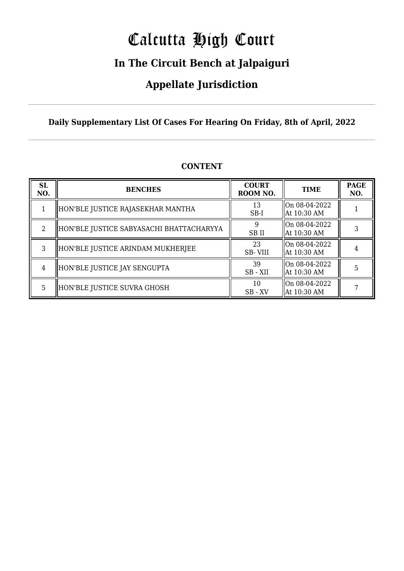# Calcutta High Court

### **In The Circuit Bench at Jalpaiguri**

### **Appellate Jurisdiction**

#### **Daily Supplementary List Of Cases For Hearing On Friday, 8th of April, 2022**

| <b>SL</b><br>NO. | <b>BENCHES</b>                           | <b>COURT</b><br>ROOM NO. | <b>TIME</b>                    | <b>PAGE</b><br>NO. |
|------------------|------------------------------------------|--------------------------|--------------------------------|--------------------|
|                  | HON'BLE JUSTICE RAJASEKHAR MANTHA        | 13<br>$SB-I$             | On 08-04-2022<br>  At 10:30 AM |                    |
| 2                | HON'BLE JUSTICE SABYASACHI BHATTACHARYYA | SB II                    | On 08-04-2022<br>  At 10:30 AM |                    |
| 3                | HON'BLE JUSTICE ARINDAM MUKHERJEE        | 23<br><b>SB-VIII</b>     | On 08-04-2022<br>  At 10:30 AM |                    |
| 4                | HON'BLE JUSTICE JAY SENGUPTA             | 39<br>SB-XII             | On 08-04-2022<br>  At 10:30 AM |                    |
| 5                | HON'BLE JUSTICE SUVRA GHOSH              | 10<br>$SB$ - $XV$        | On 08-04-2022<br>  At 10:30 AM |                    |

#### **CONTENT**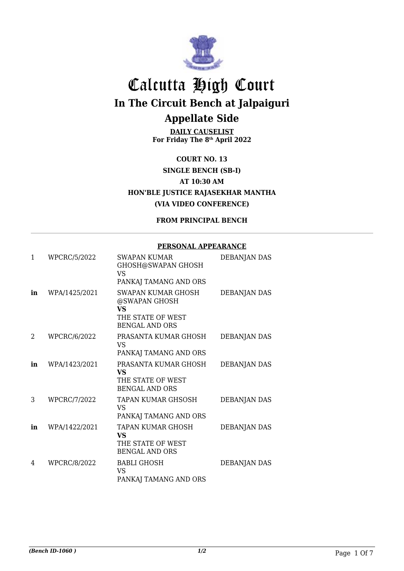

**DAILY CAUSELIST For Friday The 8th April 2022**

**COURT NO. 13 SINGLE BENCH (SB-I) AT 10:30 AM HON'BLE JUSTICE RAJASEKHAR MANTHA (VIA VIDEO CONFERENCE)**

**FROM PRINCIPAL BENCH**

#### **PERSONAL APPEARANCE**

| $\mathbf{1}$ | WPCRC/5/2022  | <b>SWAPAN KUMAR</b><br><b>GHOSH@SWAPAN GHOSH</b><br><b>VS</b><br>PANKAJ TAMANG AND ORS         | DEBANJAN DAS        |
|--------------|---------------|------------------------------------------------------------------------------------------------|---------------------|
| in           | WPA/1425/2021 | SWAPAN KUMAR GHOSH<br>@SWAPAN GHOSH<br><b>VS</b><br>THE STATE OF WEST<br><b>BENGAL AND ORS</b> | DEBANJAN DAS        |
| 2            | WPCRC/6/2022  | PRASANTA KUMAR GHOSH<br>VS<br>PANKAJ TAMANG AND ORS                                            | DEBANJAN DAS        |
| in           | WPA/1423/2021 | PRASANTA KUMAR GHOSH<br><b>VS</b><br>THE STATE OF WEST<br><b>BENGAL AND ORS</b>                | <b>DEBANJAN DAS</b> |
| 3            | WPCRC/7/2022  | TAPAN KUMAR GHSOSH<br>VS<br>PANKAJ TAMANG AND ORS                                              | DEBANJAN DAS        |
| in           | WPA/1422/2021 | <b>TAPAN KUMAR GHOSH</b><br><b>VS</b><br>THE STATE OF WEST<br><b>BENGAL AND ORS</b>            | DEBANJAN DAS        |
| 4            | WPCRC/8/2022  | <b>BABLI GHOSH</b><br>VS<br>PANKAJ TAMANG AND ORS                                              | DEBANJAN DAS        |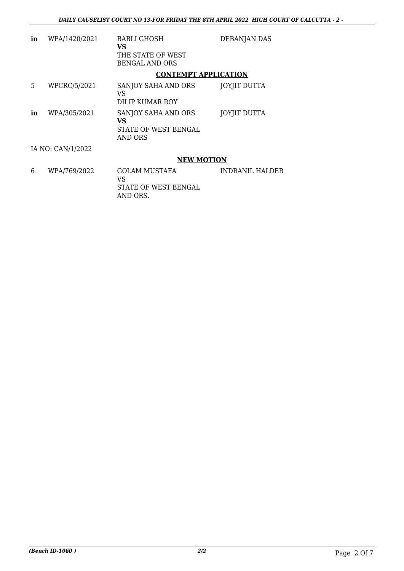| in                | WPA/1420/2021       | <b>BABLI GHOSH</b><br>VS<br>THE STATE OF WEST<br><b>BENGAL AND ORS</b> | <b>DEBANJAN DAS</b> |
|-------------------|---------------------|------------------------------------------------------------------------|---------------------|
|                   |                     | <b>CONTEMPT APPLICATION</b>                                            |                     |
| 5                 | <b>WPCRC/5/2021</b> | SANJOY SAHA AND ORS<br>VS<br>DILIP KUMAR ROY                           | JOYJIT DUTTA        |
| in                | WPA/305/2021        | SANJOY SAHA AND ORS<br>VS<br>STATE OF WEST BENGAL<br>AND ORS           | <b>JOYJIT DUTTA</b> |
| IA NO: CAN/1/2022 |                     |                                                                        |                     |
|                   |                     | <b>NEW MOTION</b>                                                      |                     |
| 6                 | WPA/769/2022        | GOLAM MUSTAFA<br>VS                                                    | INDRANII. HALDER    |

STATE OF WEST BENGAL

AND ORS.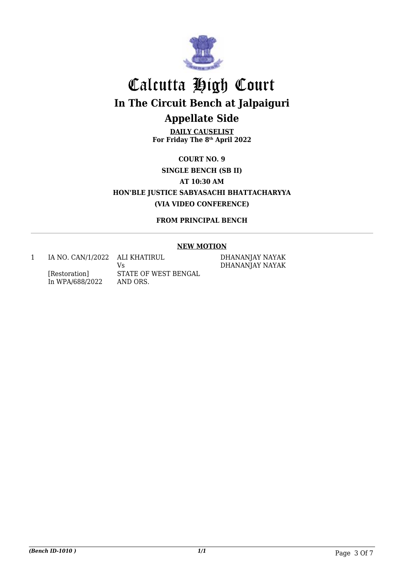

**DAILY CAUSELIST For Friday The 8th April 2022**

**COURT NO. 9 SINGLE BENCH (SB II) AT 10:30 AM HON'BLE JUSTICE SABYASACHI BHATTACHARYYA (VIA VIDEO CONFERENCE)**

**FROM PRINCIPAL BENCH**

#### **NEW MOTION**

1 IA NO. CAN/1/2022 ALI KHATIRUL [Restoration] In WPA/688/2022 Vs STATE OF WEST BENGAL AND ORS.

DHANANJAY NAYAK DHANANJAY NAYAK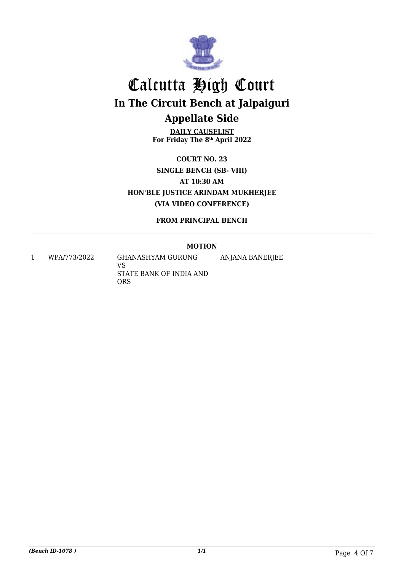

**DAILY CAUSELIST For Friday The 8th April 2022**

**COURT NO. 23 SINGLE BENCH (SB- VIII) AT 10:30 AM HON'BLE JUSTICE ARINDAM MUKHERJEE (VIA VIDEO CONFERENCE)**

**FROM PRINCIPAL BENCH**

#### **MOTION**

ANJANA BANERJEE

1 WPA/773/2022 GHANASHYAM GURUNG

VS STATE BANK OF INDIA AND ORS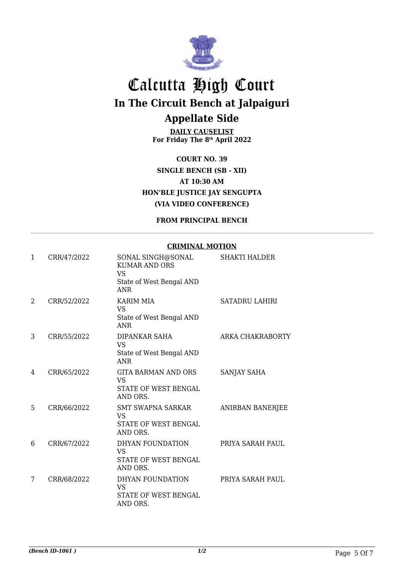

**DAILY CAUSELIST For Friday The 8th April 2022**

**COURT NO. 39 SINGLE BENCH (SB - XII) AT 10:30 AM HON'BLE JUSTICE JAY SENGUPTA (VIA VIDEO CONFERENCE)**

**FROM PRINCIPAL BENCH**

#### **CRIMINAL MOTION**

| 1 | CRR/47/2022 | SONAL SINGH@SONAL<br><b>KUMAR AND ORS</b><br><b>VS</b><br>State of West Bengal AND<br><b>ANR</b> | <b>SHAKTI HALDER</b>    |
|---|-------------|--------------------------------------------------------------------------------------------------|-------------------------|
| 2 | CRR/52/2022 | <b>KARIM MIA</b><br><b>VS</b><br>State of West Bengal AND<br><b>ANR</b>                          | SATADRU LAHIRI          |
| 3 | CRR/55/2022 | DIPANKAR SAHA<br><b>VS</b><br>State of West Bengal AND<br><b>ANR</b>                             | ARKA CHAKRABORTY        |
| 4 | CRR/65/2022 | <b>GITA BARMAN AND ORS</b><br><b>VS</b><br>STATE OF WEST BENGAL<br>AND ORS.                      | <b>SANJAY SAHA</b>      |
| 5 | CRR/66/2022 | <b>SMT SWAPNA SARKAR</b><br>VS<br>STATE OF WEST BENGAL<br>AND ORS.                               | <b>ANIRBAN BANERJEE</b> |
| 6 | CRR/67/2022 | DHYAN FOUNDATION<br><b>VS</b><br>STATE OF WEST BENGAL<br>AND ORS.                                | PRIYA SARAH PAUL        |
| 7 | CRR/68/2022 | DHYAN FOUNDATION<br><b>VS</b><br>STATE OF WEST BENGAL<br>AND ORS.                                | PRIYA SARAH PAUL        |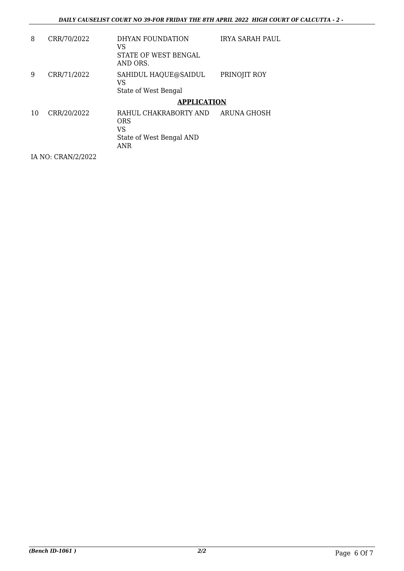| 8  | CRR/70/2022        | DHYAN FOUNDATION<br>VS<br>STATE OF WEST BENGAL<br>AND ORS.                                 | IRYA SARAH PAUL |
|----|--------------------|--------------------------------------------------------------------------------------------|-----------------|
| 9  | CRR/71/2022        | SAHIDUL HAQUE@SAIDUL<br>VS<br>State of West Bengal                                         | PRINOJIT ROY    |
|    |                    | <b>APPLICATION</b>                                                                         |                 |
| 10 | CRR/20/2022        | RAHUL CHAKRABORTY AND<br><b>ORS</b><br><b>VS</b><br>State of West Bengal AND<br><b>ANR</b> | ARUNA GHOSH     |
|    | IA NO: CRAN/2/2022 |                                                                                            |                 |